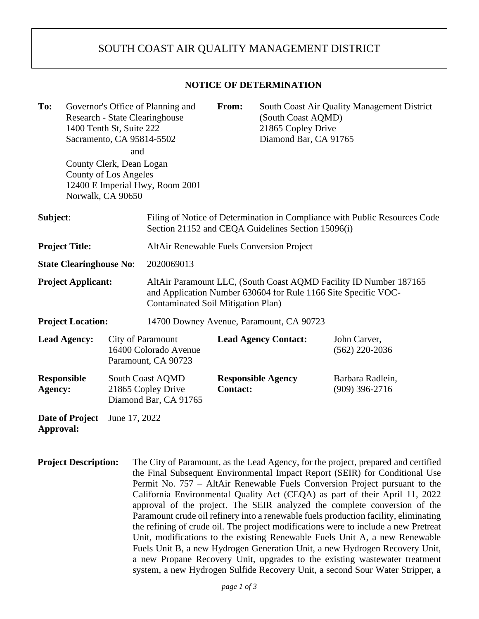## SOUTH COAST AIR QUALITY MANAGEMENT DISTRICT

## **NOTICE OF DETERMINATION**

| To:                            |                     | 1400 Tenth St, Suite 222<br>Sacramento, CA 95814-5502                                | Governor's Office of Planning and<br>Research - State Clearinghouse                                                                                                       | From:           | South Coast Air Quality Management District<br>(South Coast AQMD)<br>21865 Copley Drive<br>Diamond Bar, CA 91765 |                                      |
|--------------------------------|---------------------|--------------------------------------------------------------------------------------|---------------------------------------------------------------------------------------------------------------------------------------------------------------------------|-----------------|------------------------------------------------------------------------------------------------------------------|--------------------------------------|
|                                |                     | and<br>County Clerk, Dean Logan<br><b>County of Los Angeles</b><br>Norwalk, CA 90650 | 12400 E Imperial Hwy, Room 2001                                                                                                                                           |                 |                                                                                                                  |                                      |
| Subject:                       |                     |                                                                                      | Filing of Notice of Determination in Compliance with Public Resources Code<br>Section 21152 and CEQA Guidelines Section 15096(i)                                          |                 |                                                                                                                  |                                      |
| <b>Project Title:</b>          |                     |                                                                                      | <b>AltAir Renewable Fuels Conversion Project</b>                                                                                                                          |                 |                                                                                                                  |                                      |
| <b>State Clearinghouse No:</b> |                     |                                                                                      | 2020069013                                                                                                                                                                |                 |                                                                                                                  |                                      |
| <b>Project Applicant:</b>      |                     |                                                                                      | AltAir Paramount LLC, (South Coast AQMD Facility ID Number 187165<br>and Application Number 630604 for Rule 1166 Site Specific VOC-<br>Contaminated Soil Mitigation Plan) |                 |                                                                                                                  |                                      |
| <b>Project Location:</b>       |                     |                                                                                      | 14700 Downey Avenue, Paramount, CA 90723                                                                                                                                  |                 |                                                                                                                  |                                      |
|                                | <b>Lead Agency:</b> | City of Paramount<br>16400 Colorado Avenue<br>Paramount, CA 90723                    |                                                                                                                                                                           |                 | <b>Lead Agency Contact:</b>                                                                                      | John Carver,<br>$(562)$ 220-2036     |
| <b>Responsible</b><br>Agency:  |                     |                                                                                      | South Coast AQMD<br>21865 Copley Drive<br>Diamond Bar, CA 91765                                                                                                           | <b>Contact:</b> | <b>Responsible Agency</b>                                                                                        | Barbara Radlein,<br>$(909)$ 396-2716 |
| Date of Project<br>Approval:   |                     | June 17, 2022                                                                        |                                                                                                                                                                           |                 |                                                                                                                  |                                      |

**Project Description:** The City of Paramount, as the Lead Agency, for the project, prepared and certified the Final Subsequent Environmental Impact Report (SEIR) for Conditional Use Permit No. 757 – AltAir Renewable Fuels Conversion Project pursuant to the California Environmental Quality Act (CEQA) as part of their April 11, 2022 approval of the project. The SEIR analyzed the complete conversion of the Paramount crude oil refinery into a renewable fuels production facility, eliminating the refining of crude oil. The project modifications were to include a new Pretreat Unit, modifications to the existing Renewable Fuels Unit A, a new Renewable Fuels Unit B, a new Hydrogen Generation Unit, a new Hydrogen Recovery Unit, a new Propane Recovery Unit, upgrades to the existing wastewater treatment system, a new Hydrogen Sulfide Recovery Unit, a second Sour Water Stripper, a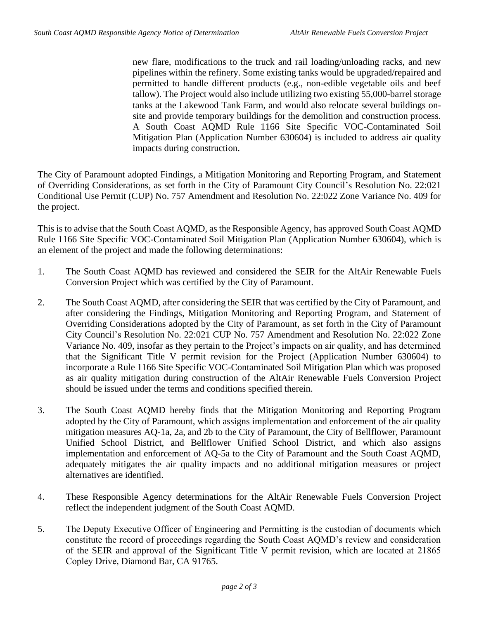new flare, modifications to the truck and rail loading/unloading racks, and new pipelines within the refinery. Some existing tanks would be upgraded/repaired and permitted to handle different products (e.g., non-edible vegetable oils and beef tallow). The Project would also include utilizing two existing 55,000-barrel storage tanks at the Lakewood Tank Farm, and would also relocate several buildings onsite and provide temporary buildings for the demolition and construction process. A South Coast AQMD Rule 1166 Site Specific VOC-Contaminated Soil Mitigation Plan (Application Number 630604) is included to address air quality impacts during construction.

The City of Paramount adopted Findings, a Mitigation Monitoring and Reporting Program, and Statement of Overriding Considerations, as set forth in the City of Paramount City Council's Resolution No. 22:021 Conditional Use Permit (CUP) No. 757 Amendment and Resolution No. 22:022 Zone Variance No. 409 for the project.

This is to advise that the South Coast AQMD, as the Responsible Agency, has approved South Coast AQMD Rule 1166 Site Specific VOC-Contaminated Soil Mitigation Plan (Application Number 630604), which is an element of the project and made the following determinations:

- 1. The South Coast AQMD has reviewed and considered the SEIR for the AltAir Renewable Fuels Conversion Project which was certified by the City of Paramount.
- 2. The South Coast AQMD, after considering the SEIR that was certified by the City of Paramount, and after considering the Findings, Mitigation Monitoring and Reporting Program, and Statement of Overriding Considerations adopted by the City of Paramount, as set forth in the City of Paramount City Council's Resolution No. 22:021 CUP No. 757 Amendment and Resolution No. 22:022 Zone Variance No. 409, insofar as they pertain to the Project's impacts on air quality, and has determined that the Significant Title V permit revision for the Project (Application Number 630604) to incorporate a Rule 1166 Site Specific VOC-Contaminated Soil Mitigation Plan which was proposed as air quality mitigation during construction of the AltAir Renewable Fuels Conversion Project should be issued under the terms and conditions specified therein.
- 3. The South Coast AQMD hereby finds that the Mitigation Monitoring and Reporting Program adopted by the City of Paramount, which assigns implementation and enforcement of the air quality mitigation measures AQ-1a, 2a, and 2b to the City of Paramount, the City of Bellflower, Paramount Unified School District, and Bellflower Unified School District, and which also assigns implementation and enforcement of AQ-5a to the City of Paramount and the South Coast AQMD, adequately mitigates the air quality impacts and no additional mitigation measures or project alternatives are identified.
- 4. These Responsible Agency determinations for the AltAir Renewable Fuels Conversion Project reflect the independent judgment of the South Coast AQMD.
- 5. The Deputy Executive Officer of Engineering and Permitting is the custodian of documents which constitute the record of proceedings regarding the South Coast AQMD's review and consideration of the SEIR and approval of the Significant Title V permit revision, which are located at 21865 Copley Drive, Diamond Bar, CA 91765.